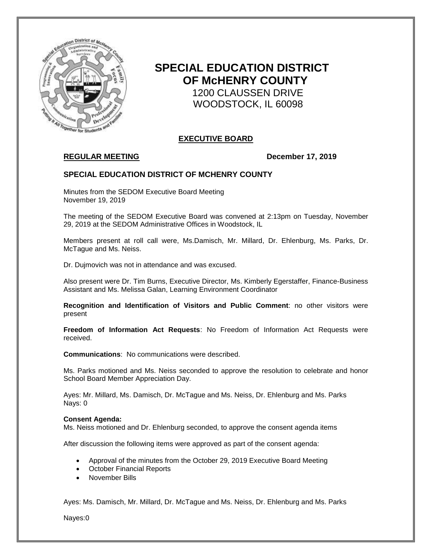

# **SPECIAL EDUCATION DISTRICT OF McHENRY COUNTY** 1200 CLAUSSEN DRIVE WOODSTOCK, IL 60098

# **EXECUTIVE BOARD**

# **REGULAR MEETING December 17, 2019**

## **SPECIAL EDUCATION DISTRICT OF MCHENRY COUNTY**

Minutes from the SEDOM Executive Board Meeting November 19, 2019

The meeting of the SEDOM Executive Board was convened at 2:13pm on Tuesday, November 29, 2019 at the SEDOM Administrative Offices in Woodstock, IL

Members present at roll call were, Ms.Damisch, Mr. Millard, Dr. Ehlenburg, Ms. Parks, Dr. McTague and Ms. Neiss.

Dr. Dujmovich was not in attendance and was excused.

Also present were Dr. Tim Burns, Executive Director, Ms. Kimberly Egerstaffer, Finance-Business Assistant and Ms. Melissa Galan, Learning Environment Coordinator

**Recognition and Identification of Visitors and Public Comment**: no other visitors were present

**Freedom of Information Act Requests**: No Freedom of Information Act Requests were received.

**Communications**: No communications were described.

Ms. Parks motioned and Ms. Neiss seconded to approve the resolution to celebrate and honor School Board Member Appreciation Day.

Ayes: Mr. Millard, Ms. Damisch, Dr. McTague and Ms. Neiss, Dr. Ehlenburg and Ms. Parks Nays: 0

#### **Consent Agenda:**

Ms. Neiss motioned and Dr. Ehlenburg seconded, to approve the consent agenda items

After discussion the following items were approved as part of the consent agenda:

- Approval of the minutes from the October 29, 2019 Executive Board Meeting
- October Financial Reports
- November Bills

Ayes: Ms. Damisch, Mr. Millard, Dr. McTague and Ms. Neiss, Dr. Ehlenburg and Ms. Parks

Nayes:0